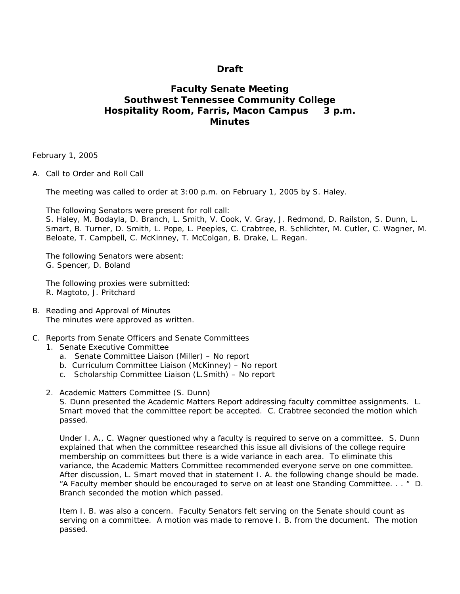## **Draft**

# **Faculty Senate Meeting Southwest Tennessee Community College Hospitality Room, Farris, Macon Campus 3 p.m. Minutes**

February 1, 2005

A. Call to Order and Roll Call

The meeting was called to order at 3:00 p.m. on February 1, 2005 by S. Haley.

The following Senators were present for roll call:

S. Haley, M. Bodayla, D. Branch, L. Smith, V. Cook, V. Gray, J. Redmond, D. Railston, S. Dunn, L. Smart, B. Turner, D. Smith, L. Pope, L. Peeples, C. Crabtree, R. Schlichter, M. Cutler, C. Wagner, M. Beloate, T. Campbell, C. McKinney, T. McColgan, B. Drake, L. Regan.

The following Senators were absent: G. Spencer, D. Boland

The following proxies were submitted: R. Magtoto, J. Pritchard

- B. Reading and Approval of Minutes The minutes were approved as written.
- C. Reports from Senate Officers and Senate Committees
	- 1. Senate Executive Committee
		- a. Senate Committee Liaison (Miller) No report
		- b. Curriculum Committee Liaison (McKinney) No report
		- c. Scholarship Committee Liaison (L.Smith) No report
		- 2. Academic Matters Committee (S. Dunn)

S. Dunn presented the Academic Matters Report addressing faculty committee assignments. L. Smart moved that the committee report be accepted. C. Crabtree seconded the motion which passed.

Under I. A., C. Wagner questioned why a faculty is required to serve on a committee. S. Dunn explained that when the committee researched this issue all divisions of the college require membership on committees but there is a wide variance in each area. To eliminate this variance, the Academic Matters Committee recommended everyone serve on one committee. After discussion, L. Smart moved that in statement I. A. the following change should be made. "A Faculty member should be encouraged to serve on at least one Standing Committee. . . " D. Branch seconded the motion which passed.

Item I. B. was also a concern. Faculty Senators felt serving on the Senate should count as serving on a committee. A motion was made to remove I. B. from the document. The motion passed.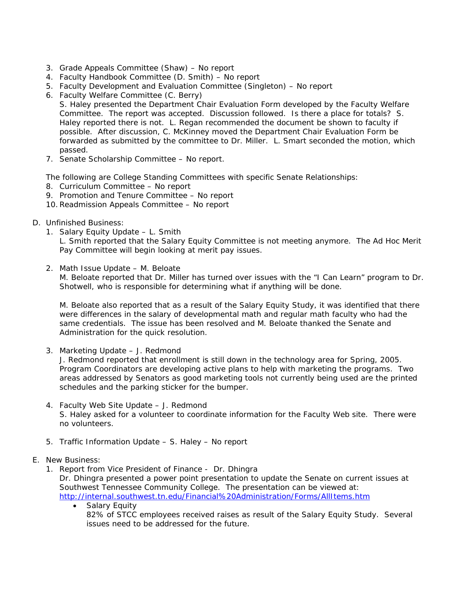- 3. Grade Appeals Committee (Shaw) No report
- 4. Faculty Handbook Committee (D. Smith) No report
- 5. Faculty Development and Evaluation Committee (Singleton) No report
- 6. Faculty Welfare Committee (C. Berry)
	- S. Haley presented the Department Chair Evaluation Form developed by the Faculty Welfare Committee. The report was accepted. Discussion followed. Is there a place for totals? S. Haley reported there is not. L. Regan recommended the document be shown to faculty if possible. After discussion, C. McKinney moved the Department Chair Evaluation Form be forwarded as submitted by the committee to Dr. Miller. L. Smart seconded the motion, which passed.
- 7. Senate Scholarship Committee No report.

The following are College Standing Committees with specific Senate Relationships:

- 8. Curriculum Committee No report
- 9. Promotion and Tenure Committee No report
- 10.Readmission Appeals Committee No report
- D. Unfinished Business:
	- 1. Salary Equity Update L. Smith

L. Smith reported that the Salary Equity Committee is not meeting anymore. The Ad Hoc Merit Pay Committee will begin looking at merit pay issues.

2. Math Issue Update – M. Beloate

M. Beloate reported that Dr. Miller has turned over issues with the "I Can Learn" program to Dr. Shotwell, who is responsible for determining what if anything will be done.

M. Beloate also reported that as a result of the Salary Equity Study, it was identified that there were differences in the salary of developmental math and regular math faculty who had the same credentials. The issue has been resolved and M. Beloate thanked the Senate and Administration for the quick resolution.

3. Marketing Update – J. Redmond

J. Redmond reported that enrollment is still down in the technology area for Spring, 2005. Program Coordinators are developing active plans to help with marketing the programs. Two areas addressed by Senators as good marketing tools not currently being used are the printed schedules and the parking sticker for the bumper.

- 4. Faculty Web Site Update J. Redmond S. Haley asked for a volunteer to coordinate information for the Faculty Web site. There were no volunteers.
- 5. Traffic Information Update S. Haley No report
- E. New Business:
	- 1. Report from Vice President of Finance Dr. Dhingra Dr. Dhingra presented a power point presentation to update the Senate on current issues at Southwest Tennessee Community College. The presentation can be viewed at: <http://internal.southwest.tn.edu/Financial%20Administration/Forms/AllItems.htm>
		- Salary Equity 82% of STCC employees received raises as result of the Salary Equity Study. Several issues need to be addressed for the future.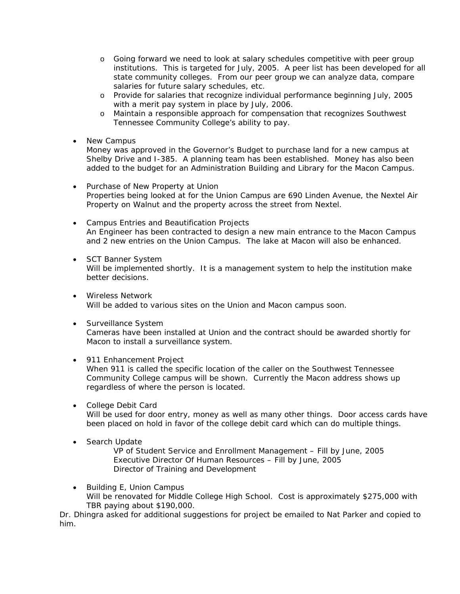- o Going forward we need to look at salary schedules competitive with peer group institutions. This is targeted for July, 2005. A peer list has been developed for all state community colleges. From our peer group we can analyze data, compare salaries for future salary schedules, etc.
- o Provide for salaries that recognize individual performance beginning July, 2005 with a merit pay system in place by July, 2006.
- o Maintain a responsible approach for compensation that recognizes Southwest Tennessee Community College's ability to pay.
- New Campus

Money was approved in the Governor's Budget to purchase land for a new campus at Shelby Drive and I-385. A planning team has been established. Money has also been added to the budget for an Administration Building and Library for the Macon Campus.

- Purchase of New Property at Union Properties being looked at for the Union Campus are 690 Linden Avenue, the Nextel Air Property on Walnut and the property across the street from Nextel.
- Campus Entries and Beautification Projects An Engineer has been contracted to design a new main entrance to the Macon Campus and 2 new entries on the Union Campus. The lake at Macon will also be enhanced.
- SCT Banner System Will be implemented shortly. It is a management system to help the institution make better decisions.
- Wireless Network Will be added to various sites on the Union and Macon campus soon.
- Surveillance System Cameras have been installed at Union and the contract should be awarded shortly for Macon to install a surveillance system.
- 911 Enhancement Project

When 911 is called the specific location of the caller on the Southwest Tennessee Community College campus will be shown. Currently the Macon address shows up regardless of where the person is located.

• College Debit Card

Will be used for door entry, money as well as many other things. Door access cards have been placed on hold in favor of the college debit card which can do multiple things.

• Search Update

VP of Student Service and Enrollment Management – Fill by June, 2005 Executive Director Of Human Resources – Fill by June, 2005 Director of Training and Development

• Building E, Union Campus Will be renovated for Middle College High School. Cost is approximately \$275,000 with TBR paying about \$190,000.

Dr. Dhingra asked for additional suggestions for project be emailed to Nat Parker and copied to him.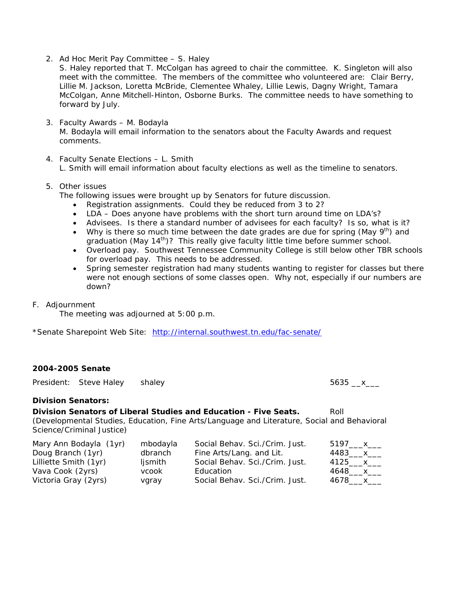2. Ad Hoc Merit Pay Committee – S. Haley

S. Haley reported that T. McColgan has agreed to chair the committee. K. Singleton will also meet with the committee. The members of the committee who volunteered are: Clair Berry, Lillie M. Jackson, Loretta McBride, Clementee Whaley, Lillie Lewis, Dagny Wright, Tamara McColgan, Anne Mitchell-Hinton, Osborne Burks. The committee needs to have something to forward by July.

- 3. Faculty Awards M. Bodayla M. Bodayla will email information to the senators about the Faculty Awards and request comments.
- 4. Faculty Senate Elections L. Smith L. Smith will email information about faculty elections as well as the timeline to senators.

### 5. Other issues

The following issues were brought up by Senators for future discussion.

- Registration assignments. Could they be reduced from 3 to 2?
- LDA Does anyone have problems with the short turn around time on LDA's?
- Advisees. Is there a standard number of advisees for each faculty? Is so, what is it?
- Why is there so much time between the date grades are due for spring (May  $9<sup>th</sup>$ ) and graduation (May 14<sup>th</sup>)? This really give faculty little time before summer school.
- Overload pay. Southwest Tennessee Community College is still below other TBR schools for overload pay. This needs to be addressed.
- Spring semester registration had many students wanting to register for classes but there were not enough sections of some classes open. Why not, especially if our numbers are down?

#### F. Adjournment

The meeting was adjourned at 5:00 p.m.

\*Senate Sharepoint Web Site: <http://internal.southwest.tn.edu/fac-senate/>

## **2004-2005 Senate**

President: Steve Haley shaley 5635 \_\_x\_\_\_

# **Division Senators:**

**Division Senators of Liberal Studies and Education - Five Seats.** Roll

(Developmental Studies, Education, Fine Arts/Language and Literature, Social and Behavioral Science/Criminal Justice)

| Mary Ann Bodayla (1yr) | mbodayla | Social Behav. Sci./Crim. Just. | 5197____x___  |
|------------------------|----------|--------------------------------|---------------|
| Doug Branch (1yr)      | dbranch  | Fine Arts/Lang. and Lit.       | 4483____x____ |
| Lilliette Smith (1yr)  | ljsmith  | Social Behav. Sci./Crim. Just. | 4125____x___  |
| Vava Cook (2yrs)       | vcook    | Education                      | 4648____x___  |
| Victoria Gray (2yrs)   | vgray    | Social Behav. Sci./Crim. Just. | 4678 x        |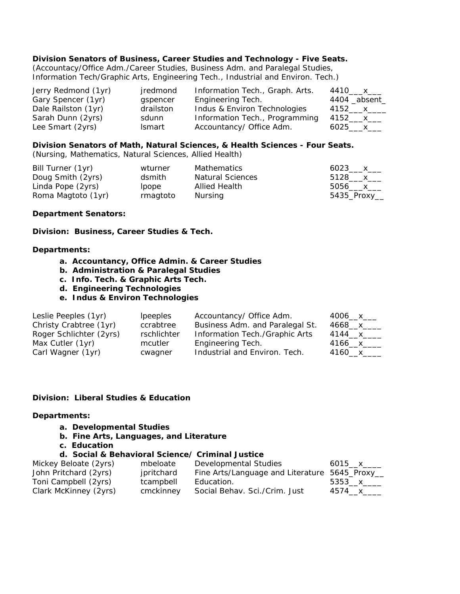## **Division Senators of Business, Career Studies and Technology - Five Seats.**

(Accountacy/Office Adm./Career Studies, Business Adm. and Paralegal Studies, Information Tech/Graphic Arts, Engineering Tech., Industrial and Environ. Tech.)

| Jerry Redmond (1yr) | jredmond      | Information Tech., Graph. Arts. | 4410 x        |
|---------------------|---------------|---------------------------------|---------------|
| Gary Spencer (1yr)  | gspencer      | Engineering Tech.               | 4404 _absent_ |
| Dale Railston (1yr) | drailston     | Indus & Environ Technologies    | 4152____x____ |
| Sarah Dunn (2yrs)   | sdunn         | Information Tech., Programming  | 4152____x____ |
| Lee Smart (2yrs)    | <b>Ismart</b> | Accountancy/ Office Adm.        | 6025____x___  |

## **Division Senators of Math, Natural Sciences, & Health Sciences - Four Seats.**

(Nursing, Mathematics, Natural Sciences, Allied Health)

| Bill Turner (1yr)  | wturner      | <b>Mathematics</b>      | 6023 x        |
|--------------------|--------------|-------------------------|---------------|
| Doug Smith (2yrs)  | dsmith       | <b>Natural Sciences</b> | 5128____x____ |
| Linda Pope (2yrs)  | <i>lpope</i> | Allied Health           | 5056 x        |
| Roma Magtoto (1yr) | rmagtoto     | Nursing                 | 5435_Proxy___ |

#### **Department Senators:**

**Division: Business, Career Studies & Tech.** 

#### **Departments:**

- **a. Accountancy, Office Admin. & Career Studies**
- **b. Administration & Paralegal Studies**
- **c. Info. Tech. & Graphic Arts Tech.**
- **d. Engineering Technologies**
- **e. Indus & Environ Technologies**

| Leslie Peeples (1yr)    | <i>lpeeples</i> | Accountancy/ Office Adm.        | 4006__x___  |
|-------------------------|-----------------|---------------------------------|-------------|
| Christy Crabtree (1yr)  | ccrabtree       | Business Adm. and Paralegal St. | 4668__x____ |
| Roger Schlichter (2yrs) | rschlichter     | Information Tech./Graphic Arts  | 4144__x____ |
| Max Cutler (1yr)        | mcutler         | Engineering Tech.               | 4166___x__  |
| Carl Wagner (1yr)       | cwagner         | Industrial and Environ. Tech.   | 4160 x      |

#### **Division: Liberal Studies & Education**

#### **Departments:**

- **a. Developmental Studies**
- **b. Fine Arts, Languages, and Literature**
- **c. Education**

#### **d. Social & Behavioral Science/ Criminal Justice**

| Mickey Beloate (2yrs) | mbeloate   | Developmental Studies                          | 6015 x____ |
|-----------------------|------------|------------------------------------------------|------------|
| John Pritchard (2yrs) | jpritchard | Fine Arts/Language and Literature 5645_Proxy__ |            |
| Toni Campbell (2yrs)  | tcampbell  | Education.                                     | 5353 x     |
| Clark McKinney (2yrs) | cmckinney  | Social Behav. Sci./Crim. Just                  | 4574 x     |